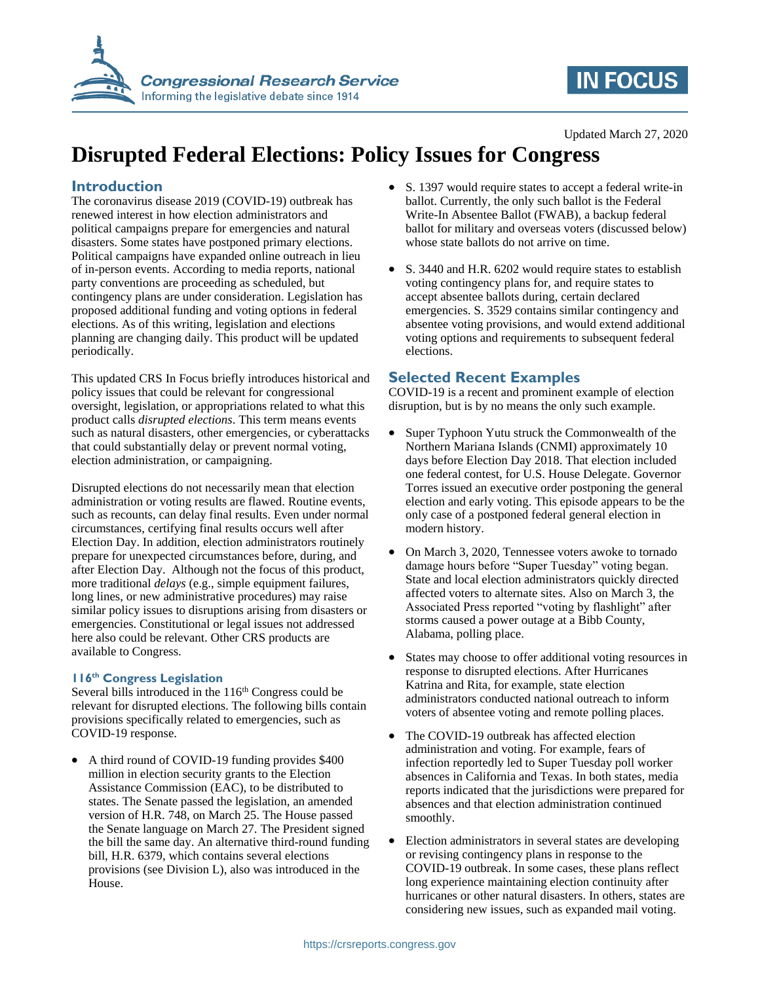

## **IN FOCUS**

#### Updated March 27, 2020

# **Disrupted Federal Elections: Policy Issues for Congress**

## **Introduction**

The coronavirus disease 2019 (COVID-19) outbreak has renewed interest in how election administrators and political campaigns prepare for emergencies and natural disasters. Some states have postponed primary elections. Political campaigns have expanded online outreach in lieu of in-person events. According to media reports, national party conventions are proceeding as scheduled, but contingency plans are under consideration. Legislation has proposed additional funding and voting options in federal elections. As of this writing, legislation and elections planning are changing daily. This product will be updated periodically.

This updated CRS In Focus briefly introduces historical and policy issues that could be relevant for congressional oversight, legislation, or appropriations related to what this product calls *disrupted elections*. This term means events such as natural disasters, other emergencies, or cyberattacks that could substantially delay or prevent normal voting, election administration, or campaigning.

Disrupted elections do not necessarily mean that election administration or voting results are flawed. Routine events, such as recounts, can delay final results. Even under normal circumstances, certifying final results occurs well after Election Day. In addition, election administrators routinely prepare for unexpected circumstances before, during, and after Election Day. Although not the focus of this product, more traditional *delays* (e.g., simple equipment failures, long lines, or new administrative procedures) may raise similar policy issues to disruptions arising from disasters or emergencies. Constitutional or legal issues not addressed here also could be relevant. Other CRS products are available to Congress.

### **116th Congress Legislation**

Several bills introduced in the  $116<sup>th</sup>$  Congress could be relevant for disrupted elections. The following bills contain provisions specifically related to emergencies, such as COVID-19 response.

• A third round of COVID-19 funding provides \$400 million in election security grants to the Election Assistance Commission (EAC), to be distributed to states. The Senate passed the legislation, an amended version of H.R. 748, on March 25. The House passed the Senate language on March 27. The President signed the bill the same day. An alternative third-round funding bill, H.R. 6379, which contains several elections provisions (see Division L), also was introduced in the House.

- S. 1397 would require states to accept a federal write-in ballot. Currently, the only such ballot is the Federal Write-In Absentee Ballot (FWAB), a backup federal ballot for military and overseas voters (discussed below) whose state ballots do not arrive on time.
- S. 3440 and H.R. 6202 would require states to establish voting contingency plans for, and require states to accept absentee ballots during, certain declared emergencies. S. 3529 contains similar contingency and absentee voting provisions, and would extend additional voting options and requirements to subsequent federal elections.

## **Selected Recent Examples**

COVID-19 is a recent and prominent example of election disruption, but is by no means the only such example.

- Super Typhoon Yutu struck the Commonwealth of the Northern Mariana Islands (CNMI) approximately 10 days before Election Day 2018. That election included one federal contest, for U.S. House Delegate. Governor Torres issued an executive order postponing the general election and early voting. This episode appears to be the only case of a postponed federal general election in modern history.
- On March 3, 2020, Tennessee voters awoke to tornado damage hours before "Super Tuesday" voting began. State and local election administrators quickly directed affected voters to alternate sites. Also on March 3, the Associated Press reported "voting by flashlight" after storms caused a power outage at a Bibb County, Alabama, polling place.
- States may choose to offer additional voting resources in response to disrupted elections. After Hurricanes Katrina and Rita, for example, state election administrators conducted national outreach to inform voters of absentee voting and remote polling places.
- The COVID-19 outbreak has affected election administration and voting. For example, fears of infection reportedly led to Super Tuesday poll worker absences in California and Texas. In both states, media reports indicated that the jurisdictions were prepared for absences and that election administration continued smoothly.
- Election administrators in several states are developing or revising contingency plans in response to the COVID-19 outbreak. In some cases, these plans reflect long experience maintaining election continuity after hurricanes or other natural disasters. In others, states are considering new issues, such as expanded mail voting.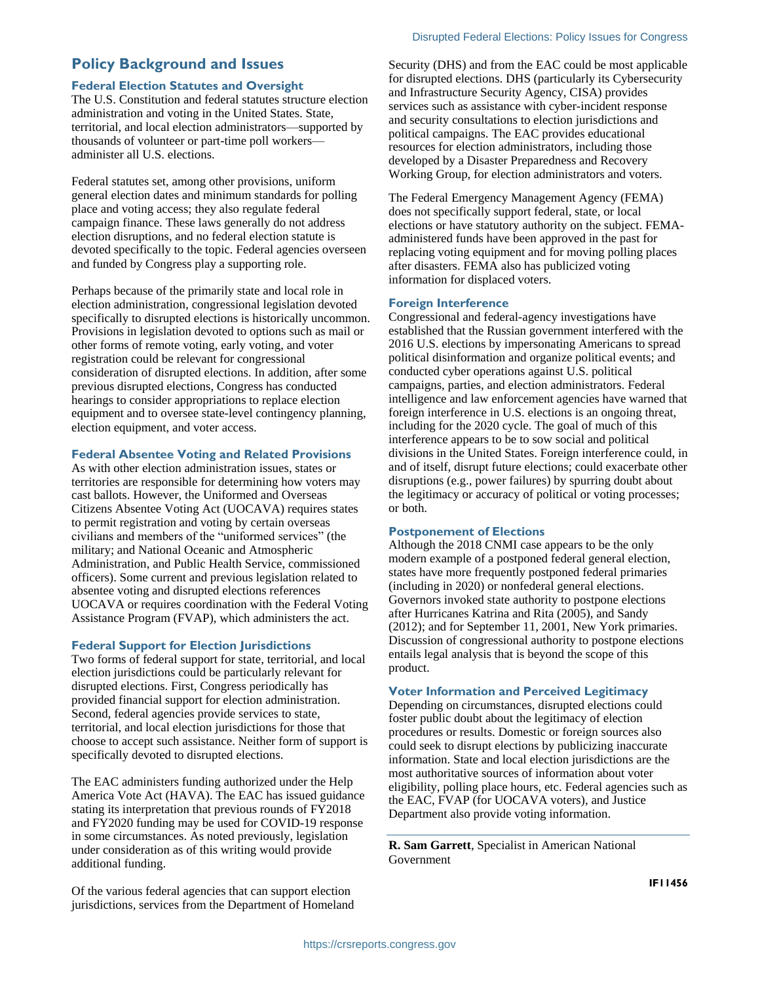## **Policy Background and Issues**

#### **Federal Election Statutes and Oversight**

The U.S. Constitution and federal statutes structure election administration and voting in the United States. State, territorial, and local election administrators—supported by thousands of volunteer or part-time poll workers administer all U.S. elections.

Federal statutes set, among other provisions, uniform general election dates and minimum standards for polling place and voting access; they also regulate federal campaign finance. These laws generally do not address election disruptions, and no federal election statute is devoted specifically to the topic. Federal agencies overseen and funded by Congress play a supporting role.

Perhaps because of the primarily state and local role in election administration, congressional legislation devoted specifically to disrupted elections is historically uncommon. Provisions in legislation devoted to options such as mail or other forms of remote voting, early voting, and voter registration could be relevant for congressional consideration of disrupted elections. In addition, after some previous disrupted elections, Congress has conducted hearings to consider appropriations to replace election equipment and to oversee state-level contingency planning, election equipment, and voter access.

#### **Federal Absentee Voting and Related Provisions**

As with other election administration issues, states or territories are responsible for determining how voters may cast ballots. However, the Uniformed and Overseas Citizens Absentee Voting Act (UOCAVA) requires states to permit registration and voting by certain overseas civilians and members of the "uniformed services" (the military; and National Oceanic and Atmospheric Administration, and Public Health Service, commissioned officers). Some current and previous legislation related to absentee voting and disrupted elections references UOCAVA or requires coordination with the Federal Voting Assistance Program (FVAP), which administers the act.

#### **Federal Support for Election Jurisdictions**

Two forms of federal support for state, territorial, and local election jurisdictions could be particularly relevant for disrupted elections. First, Congress periodically has provided financial support for election administration. Second, federal agencies provide services to state, territorial, and local election jurisdictions for those that choose to accept such assistance. Neither form of support is specifically devoted to disrupted elections.

The EAC administers funding authorized under the Help America Vote Act (HAVA). The EAC has issued guidance stating its interpretation that previous rounds of FY2018 and FY2020 funding may be used for COVID-19 response in some circumstances. As noted previously, legislation under consideration as of this writing would provide additional funding.

Of the various federal agencies that can support election jurisdictions, services from the Department of Homeland Security (DHS) and from the EAC could be most applicable for disrupted elections. DHS (particularly its Cybersecurity and Infrastructure Security Agency, CISA) provides services such as assistance with cyber-incident response and security consultations to election jurisdictions and political campaigns. The EAC provides educational resources for election administrators, including those developed by a Disaster Preparedness and Recovery Working Group, for election administrators and voters.

The Federal Emergency Management Agency (FEMA) does not specifically support federal, state, or local elections or have statutory authority on the subject. FEMAadministered funds have been approved in the past for replacing voting equipment and for moving polling places after disasters. FEMA also has publicized voting information for displaced voters.

#### **Foreign Interference**

Congressional and federal-agency investigations have established that the Russian government interfered with the 2016 U.S. elections by impersonating Americans to spread political disinformation and organize political events; and conducted cyber operations against U.S. political campaigns, parties, and election administrators. Federal intelligence and law enforcement agencies have warned that foreign interference in U.S. elections is an ongoing threat, including for the 2020 cycle. The goal of much of this interference appears to be to sow social and political divisions in the United States. Foreign interference could, in and of itself, disrupt future elections; could exacerbate other disruptions (e.g., power failures) by spurring doubt about the legitimacy or accuracy of political or voting processes; or both.

#### **Postponement of Elections**

Although the 2018 CNMI case appears to be the only modern example of a postponed federal general election, states have more frequently postponed federal primaries (including in 2020) or nonfederal general elections. Governors invoked state authority to postpone elections after Hurricanes Katrina and Rita (2005), and Sandy (2012); and for September 11, 2001, New York primaries. Discussion of congressional authority to postpone elections entails legal analysis that is beyond the scope of this product.

#### **Voter Information and Perceived Legitimacy**

Depending on circumstances, disrupted elections could foster public doubt about the legitimacy of election procedures or results. Domestic or foreign sources also could seek to disrupt elections by publicizing inaccurate information. State and local election jurisdictions are the most authoritative sources of information about voter eligibility, polling place hours, etc. Federal agencies such as the EAC, FVAP (for UOCAVA voters), and Justice Department also provide voting information.

**R. Sam Garrett**, Specialist in American National Government